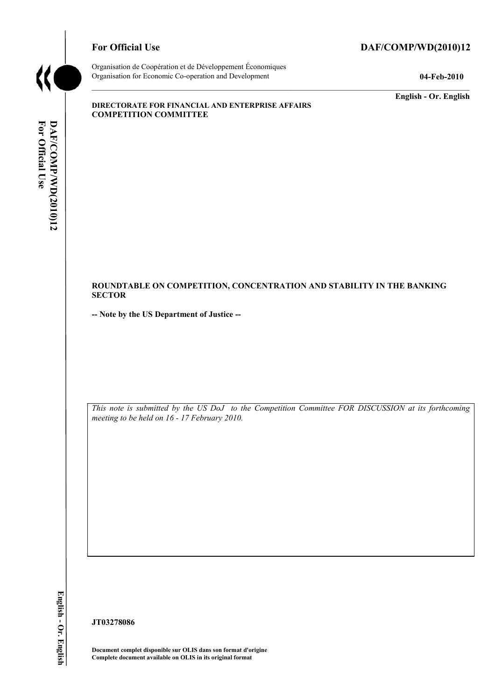

# For Official Use DAF/COMP/WD(2010)12

Organisation de Coopération et de Développement Économiques Organisation for Economic Co-operation and Development **04-Feb-2010** 

**English - Or. English** 

#### **DIRECTORATE FOR FINANCIAL AND ENTERPRISE AFFAIRS COMPETITION COMMITTEE**

#### **ROUNDTABLE ON COMPETITION, CONCENTRATION AND STABILITY IN THE BANKING SECTOR**

**-- Note by the US Department of Justice --**

 *meeting to be held on 16 - 17 February 2010. This note is submitted by the US DoJ to the Competition Committee FOR DISCUSSION at its forthcoming* 

**/WD(2010)12 English - Or. English**  English - Or. English

**JT03278086** 

 **Document complet disponible sur OLIS dans son format d'origine Complete document available on OLIS in its original format**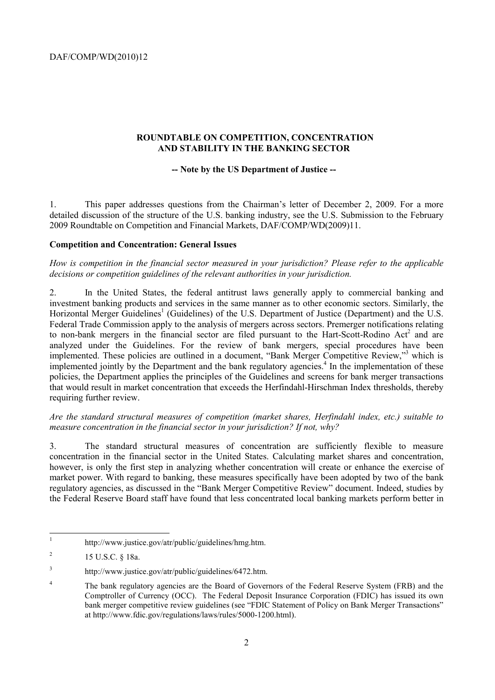DAF/COMP/WD(2010)12

# **ROUNDTABLE ON COMPETITION, CONCENTRATION**

# **AND STABILITY IN THE BANKING SECTOR -- Note by the US Department of Justice --**

1. This paper addresses questions from the Chairman's letter of December 2, 2009. For a more detailed discussion of the structure of the U.S. banking industry, see the U.S. Submission to the February 2009 Roundtable on Competition and Financial Markets, DAF/COMP/WD(2009)11.

#### **Competition and Concentration: General Issues**

*How is competition in the financial sector measured in your jurisdiction? Please refer to the applicable decisions or competition guidelines of the relevant authorities in your jurisdiction.* 

2. In the United States, the federal antitrust laws generally apply to commercial banking and investment banking products and services in the same manner as to other economic sectors. Similarly, the Horizontal Merger Guidelines<sup>1</sup> (Guidelines) of the U.S. Department of Justice (Department) and the U.S. Federal Trade Commission apply to the analysis of mergers across sectors. Premerger notifications relating to non-bank mergers in the financial sector are filed pursuant to the Hart-Scott-Rodino Act<sup>2</sup> and are analyzed under the Guidelines. For the review of bank mergers, special procedures have been implemented. These policies are outlined in a document, "Bank Merger Competitive Review,"<sup>3</sup> which is implemented jointly by the Department and the bank regulatory agencies.<sup>4</sup> In the implementation of these policies, the Department applies the principles of the Guidelines and screens for bank merger transactions that would result in market concentration that exceeds the Herfindahl-Hirschman Index thresholds, thereby requiring further review.

*Are the standard structural measures of competition (market shares, Herfindahl index, etc.) suitable to measure concentration in the financial sector in your jurisdiction? If not, why?* 

3. The standard structural measures of concentration are sufficiently flexible to measure concentration in the financial sector in the United States. Calculating market shares and concentration, however, is only the first step in analyzing whether concentration will create or enhance the exercise of market power. With regard to banking, these measures specifically have been adopted by two of the bank regulatory agencies, as discussed in the "Bank Merger Competitive Review" document. Indeed, studies by the Federal Reserve Board staff have found that less concentrated local banking markets perform better in

 http://www.justice.gov/atr/public/guidelines/hmg.htm.

 $\overline{\phantom{a}}$ 2 15 U.S.C. § 18a.

<sup>3</sup> http://www.justice.gov/atr/public/guidelines/6472.htm.

<sup>&</sup>lt;sup>4</sup> The bank regulatory agencies are the Board of Governors of the Federal Reserve System (FRB) and the Comptroller of Currency (OCC). The Federal Deposit Insurance Corporation (FDIC) has issued its own bank merger competitive review guidelines (see "FDIC Statement of Policy on Bank Merger Transactions" at http://www.fdic.gov/regulations/laws/rules/5000-1200.html).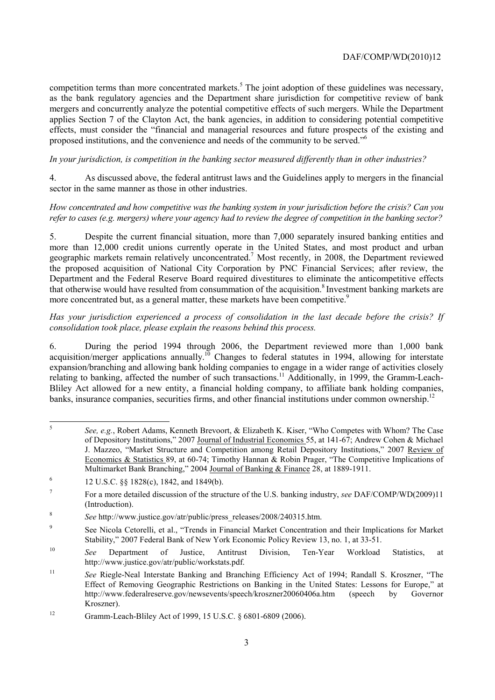competition terms than more concentrated markets.<sup>5</sup> The joint adoption of these guidelines was necessary, as the bank regulatory agencies and the Department share jurisdiction for competitive review of bank mergers and concurrently analyze the potential competitive effects of such mergers. While the Department applies Section 7 of the Clayton Act, the bank agencies, in addition to considering potential competitive effects, must consider the "financial and managerial resources and future prospects of the existing and proposed institutions, and the convenience and needs of the community to be served."6

*In your jurisdiction, is competition in the banking sector measured differently than in other industries?* 

4. As discussed above, the federal antitrust laws and the Guidelines apply to mergers in the financial sector in the same manner as those in other industries.

 *How concentrated and how competitive was the banking system in your jurisdiction before the crisis? Can you refer to cases (e.g. mergers) where your agency had to review the degree of competition in the banking sector?* 

that otherwise would have resulted from consummation of the acquisition.<sup>8</sup> Investment banking markets are 5. Despite the current financial situation, more than 7,000 separately insured banking entities and more than 12,000 credit unions currently operate in the United States, and most product and urban geographic markets remain relatively unconcentrated.7 Most recently, in 2008, the Department reviewed the proposed acquisition of National City Corporation by PNC Financial Services; after review, the Department and the Federal Reserve Board required divestitures to eliminate the anticompetitive effects more concentrated but, as a general matter, these markets have been competitive.<sup>9</sup>

 *consolidation took place, please explain the reasons behind this process. Has your jurisdiction experienced a process of consolidation in the last decade before the crisis? If* 

6. During the period 1994 through 2006, the Department reviewed more than 1,000 bank acquisition/merger applications annually.<sup>10</sup> Changes to federal statutes in 1994, allowing for interstate expansion/branching and allowing bank holding companies to engage in a wider range of activities closely relating to banking, affected the number of such transactions.<sup>11</sup> Additionally, in 1999, the Gramm-Leach-Bliley Act allowed for a new entity, a financial holding company, to affiliate bank holding companies, banks, insurance companies, securities firms, and other financial institutions under common ownership.<sup>12</sup>

 Multimarket Bank Branching," 2004 Journal of Banking & Finance 28, at 1889-1911. <sup>5</sup>*See, e.g.*, Robert Adams, Kenneth Brevoort, & Elizabeth K. Kiser, "Who Competes with Whom? The Case of Depository Institutions," 2007 Journal of Industrial Economics 55, at 141-67; Andrew Cohen & Michael J. Mazzeo, "Market Structure and Competition among Retail Depository Institutions," 2007 Review of Economics & Statistics 89, at 60-74; Timothy Hannan & Robin Prager, "The Competitive Implications of

<sup>&</sup>lt;sup>6</sup> 12 U.S.C. §§ 1828(c), 1842, and 1849(b).

 $\boldsymbol{7}$ 7 For a more detailed discussion of the structure of the U.S. banking industry, *see* DAF/COMP/WD(2009)11 (Introduction).

<sup>8</sup>*See* http://www.justice.gov/atr/public/press\_releases/2008/240315.htm.

<sup>9</sup> See Nicola Cetorelli, et al., "Trends in Financial Market Concentration and their Implications for Market Stability," 2007 Federal Bank of New York Economic Policy Review 13, no. 1, at 33-51.

<sup>10</sup>*See* Department of Justice, Antitrust Division, Ten-Year Workload Statistics, at http://www.justice.gov/atr/public/workstats.pdf.

<sup>11</sup>*See* Riegle-Neal Interstate Banking and Branching Efficiency Act of 1994; Randall S. Kroszner, "The Effect of Removing Geographic Restrictions on Banking in the United States: Lessons for Europe," at http://www.federalreserve.gov/newsevents/speech/kroszner20060406a.htm (speech by Governor Kroszner).

<sup>12</sup> Gramm-Leach-Bliley Act of 1999, 15 U.S.C. § 6801-6809 (2006).